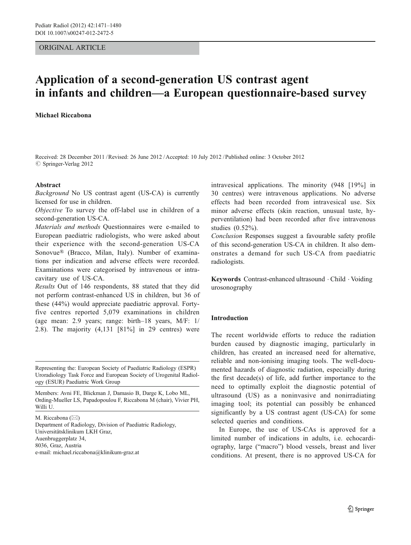# ORIGINAL ARTICLE

# Application of a second-generation US contrast agent in infants and children—a European questionnaire-based survey

### Michael Riccabona

Received: 28 December 2011 /Revised: 26 June 2012 /Accepted: 10 July 2012 / Published online: 3 October 2012  $\oslash$  Springer-Verlag 2012

### Abstract

Background No US contrast agent (US-CA) is currently licensed for use in children.

Objective To survey the off-label use in children of a second-generation US-CA.

Materials and methods Questionnaires were e-mailed to European paediatric radiologists, who were asked about their experience with the second-generation US-CA Sonovue® (Bracco, Milan, Italy). Number of examinations per indication and adverse effects were recorded. Examinations were categorised by intravenous or intracavitary use of US-CA.

Results Out of 146 respondents, 88 stated that they did not perform contrast-enhanced US in children, but 36 of these (44%) would appreciate paediatric approval. Fortyfive centres reported 5,079 examinations in children (age mean: 2.9 years; range: birth–18 years, M/F: 1/ 2.8). The majority (4,131 [81%] in 29 centres) were

Members: Avni FE, Blickman J, Damasio B, Darge K, Lobo ML, Ording-Mueller LS, Papadopoulou F, Riccabona M (chair), Vivier PH, Willi U.

M. Riccabona ( $\boxtimes$ ) Department of Radiology, Division of Paediatric Radiology, Universitätsklinikum LKH Graz, Auenbruggerplatz 34, 8036, Graz, Austria e-mail: michael.riccabona@klinikum-graz.at

intravesical applications. The minority (948 [19%] in 30 centres) were intravenous applications. No adverse effects had been recorded from intravesical use. Six minor adverse effects (skin reaction, unusual taste, hyperventilation) had been recorded after five intravenous studies (0.52%).

Conclusion Responses suggest a favourable safety profile of this second-generation US-CA in children. It also demonstrates a demand for such US-CA from paediatric radiologists.

Keywords Contrast-enhanced ultrasound . Child . Voiding urosonography

# Introduction

The recent worldwide efforts to reduce the radiation burden caused by diagnostic imaging, particularly in children, has created an increased need for alternative, reliable and non-ionising imaging tools. The well-documented hazards of diagnostic radiation, especially during the first decade(s) of life, add further importance to the need to optimally exploit the diagnostic potential of ultrasound (US) as a noninvasive and nonirradiating imaging tool; its potential can possibly be enhanced significantly by a US contrast agent (US-CA) for some selected queries and conditions.

In Europe, the use of US-CAs is approved for a limited number of indications in adults, i.e. echocardiography, large ("macro") blood vessels, breast and liver conditions. At present, there is no approved US-CA for

Representing the: European Society of Paediatric Radiology (ESPR) Uroradiology Task Force and European Society of Urogenital Radiology (ESUR) Paediatric Work Group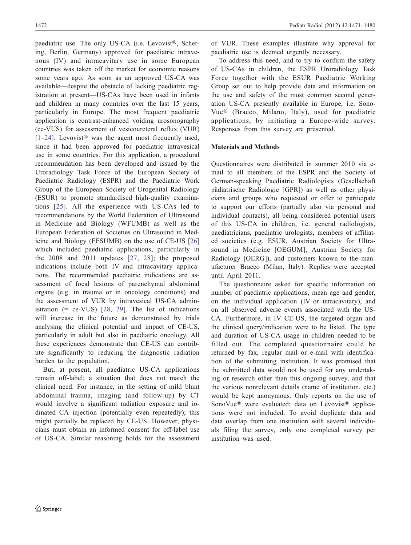paediatric use. The only US-CA (i.e. Levovist®, Schering, Berlin, Germany) approved for paediatric intravenous (IV) and intracavitary use in some European countries was taken off the market for economic reasons some years ago. As soon as an approved US-CA was available—despite the obstacle of lacking paediatric registration at present—US-CAs have been used in infants and children in many countries over the last 15 years, particularly in Europe. The most frequent paediatric application is contrast-enhanced voiding urosonography (ce-VUS) for assessment of vesicoureteral reflux (VUR)  $[1-24]$  $[1-24]$  $[1-24]$ . Levovist<sup>®</sup> was the agent most frequently used, since it had been approved for paediatric intravesical use in some countries. For this application, a procedural recommendation has been developed and issued by the Uroradiology Task Force of the European Society of Paediatric Radiology (ESPR) and the Paediatric Work Group of the European Society of Urogenital Radiology (ESUR) to promote standardised high-quality examinations [\[25](#page-7-0)]. All the experience with US-CAs led to recommendations by the World Federation of Ultrasound in Medicine and Biology (WFUMB) as well as the European Federation of Societies on Ultrasound in Medicine and Biology (EFSUMB) on the use of CE-US [[26\]](#page-7-0) which included paediatric applications, particularly in the 2008 and 2011 updates [\[27,](#page-8-0) [28\]](#page-8-0); the proposed indications include both IV and intracavitary applications. The recommended paediatric indications are assessment of focal lesions of parenchymal abdominal organs (e.g. in trauma or in oncology conditions) and the assessment of VUR by intravesical US-CA administration  $(=$  ce-VUS)  $[28, 29]$  $[28, 29]$  $[28, 29]$  $[28, 29]$ . The list of indications will increase in the future as demonstrated by trials analysing the clinical potential and impact of CE-US, particularly in adult but also in paediatric oncology. All these experiences demonstrate that CE-US can contribute significantly to reducing the diagnostic radiation burden to the population.

But, at present, all paediatric US-CA applications remain off-label; a situation that does not match the clinical need. For instance, in the setting of mild blunt abdominal trauma, imaging (and follow-up) by CT would involve a significant radiation exposure and iodinated CA injection (potentially even repeatedly); this might partially be replaced by CE-US. However, physicians must obtain an informed consent for off-label use of US-CA. Similar reasoning holds for the assessment of VUR. These examples illustrate why approval for paediatric use is deemed urgently necessary.

To address this need, and to try to confirm the safety of US-CAs in children, the ESPR Uroradiology Task Force together with the ESUR Paediatric Working Group set out to help provide data and information on the use and safety of the most common second generation US-CA presently available in Europe, i.e. Sono-Vue® (Bracco, Milano, Italy), used for paediatric applications, by initiating a Europe-wide survey. Responses from this survey are presented.

# Materials and Methods

Questionnaires were distributed in summer 2010 via email to all members of the ESPR and the Society of German-speaking Paediatric Radiologists (Gesellschaft pädiatrische Radiologie [GPR]) as well as other physicians and groups who requested or offer to participate to support our efforts (partially also via personal and individual contacts), all being considered potential users of this US-CA in children, i.e. general radiologists, paediatricians, paediatric urologists, members of affiliated societies (e.g. ESUR, Austrian Society for Ultrasound in Medicine [OEGUM], Austrian Society for Radiology [OERG]), and customers known to the manufacturer Bracco (Milan, Italy). Replies were accepted until April 2011.

The questionnaire asked for specific information on number of paediatric applications, mean age and gender, on the individual application (IV or intracavitary), and on all observed adverse events associated with the US-CA. Furthermore, in IV CE-US, the targeted organ and the clinical query/indication were to be listed. The type and duration of US-CA usage in children needed to be filled out. The completed questionnaire could be returned by fax, regular mail or e-mail with identification of the submitting institution. It was promised that the submitted data would not be used for any undertaking or research other than this ongoing survey, and that the various nonrelevant details (name of institution, etc.) would be kept anonymous. Only reports on the use of SonoVue® were evaluated; data on Levovist® applications were not included. To avoid duplicate data and data overlap from one institution with several individuals filing the survey, only one completed survey per institution was used.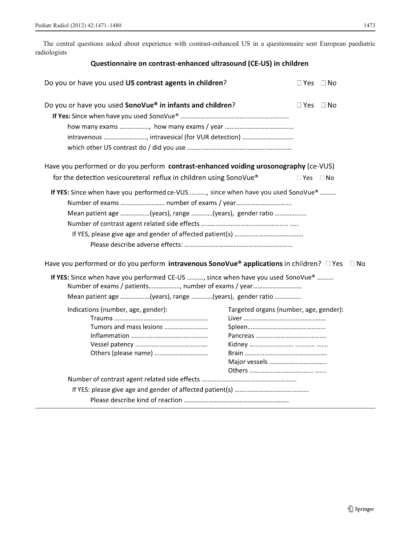The central questions asked about experience with contrast-enhanced US in a questionnaire sent European paediatric radiologists

# Questionnaire on contrast-enhanced ultrasound (CE-US) in children

| Do you or have you used US contrast agents in children?                                                                                                                                        |                                        |                      | $\Box$ Yes $\Box$ No |  |  |
|------------------------------------------------------------------------------------------------------------------------------------------------------------------------------------------------|----------------------------------------|----------------------|----------------------|--|--|
| Do you or have you used SonoVue® in infants and children?<br>intravenous , intravesical (for VUR detection)                                                                                    |                                        | $\Box$ Yes $\Box$ No |                      |  |  |
| Have you performed or do you perform contrast-enhanced voiding urosonography (ce-VUS)                                                                                                          |                                        |                      |                      |  |  |
| for the detection vesicoureteral reflux in children using SonoVue®                                                                                                                             |                                        | $\Box$ Yes $\Box$ No |                      |  |  |
| If YES: Since when have you performed ce-VUS, since when have you used SonoVue®<br>Number of exams  number of exams / year<br>Mean patient age (years), range (years), gender ratio            |                                        |                      |                      |  |  |
| Have you performed or do you perform intravenous SonoVue® applications in children? □ Yes                                                                                                      |                                        |                      | ⊟ No                 |  |  |
| If YES: Since when have you performed CE-US , since when have you used SonoVue®<br>Number of exams / patients, number of exams / year<br>Mean patient age (years), range (years), gender ratio |                                        |                      |                      |  |  |
| Indications (number, age, gender):<br>Tumors and mass lesions<br>Others (please name)                                                                                                          | Targeted organs (number, age, gender): |                      |                      |  |  |
|                                                                                                                                                                                                |                                        |                      |                      |  |  |
|                                                                                                                                                                                                |                                        |                      |                      |  |  |
|                                                                                                                                                                                                |                                        |                      |                      |  |  |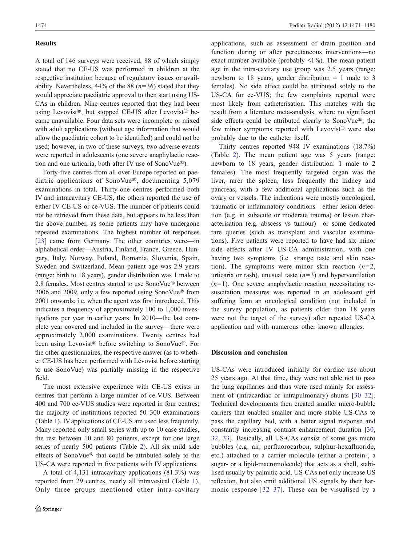### Results

A total of 146 surveys were received, 88 of which simply stated that no CE-US was performed in children at the respective institution because of regulatory issues or availability. Nevertheless,  $44\%$  of the 88 ( $n=36$ ) stated that they would appreciate paediatric approval to then start using US-CAs in children. Nine centres reported that they had been using Levovist®, but stopped CE-US after Levovist® became unavailable. Four data sets were incomplete or mixed with adult applications (without age information that would allow the paediatric cohort to be identified) and could not be used; however, in two of these surveys, two adverse events were reported in adolescents (one severe anaphylactic reaction and one urticaria, both after IV use of SonoVue®).

Forty-five centres from all over Europe reported on paediatric applications of SonoVue®, documenting 5,079 examinations in total. Thirty-one centres performed both IV and intracavitary CE-US, the others reported the use of either IV CE-US or ce-VUS. The number of patients could not be retrieved from these data, but appears to be less than the above number, as some patients may have undergone repeated examinations. The highest number of responses [\[23](#page-7-0)] came from Germany. The other countries were—in alphabetical order—Austria, Finland, France, Greece, Hungary, Italy, Norway, Poland, Romania, Slovenia, Spain, Sweden and Switzerland. Mean patient age was 2.9 years (range: birth to 18 years), gender distribution was 1 male to 2.8 females. Most centres started to use SonoVue® between 2006 and 2009, only a few reported using SonoVue® from 2001 onwards; i.e. when the agent was first introduced. This indicates a frequency of approximately 100 to 1,000 investigations per year in earlier years. In 2010—the last complete year covered and included in the survey—there were approximately 2,000 examinations. Twenty centres had been using Levovist® before switching to SonoVue®. For the other questionnaires, the respective answer (as to whether CE-US has been performed with Levovist before starting to use SonoVue) was partially missing in the respective field.

The most extensive experience with CE-US exists in centres that perform a large number of ce-VUS. Between 400 and 700 ce-VUS studies were reported in four centres; the majority of institutions reported 50–300 examinations (Table [1](#page-4-0)). IV applications of CE-US are used less frequently. Many reported only small series with up to 10 case studies, the rest between 10 and 80 patients, except for one large series of nearly 500 patients (Table 2). All six mild side effects of SonoVue® that could be attributed solely to the US-CA were reported in five patients with IV applications.

A total of 4,131 intracavitary applications (81.3%) was reported from 29 centres, nearly all intravesical (Table [1](#page-4-0)). Only three groups mentioned other intra-cavitary applications, such as assessment of drain position and function during or after percutaneous interventions—no exact number available (probably  $\leq 1\%$ ). The mean patient age in the intra-cavitary use group was 2.5 years (range: newborn to 18 years, gender distribution  $= 1$  male to 3 females). No side effect could be attributed solely to the US-CA for ce-VUS; the few complaints reported were most likely from catheterisation. This matches with the result from a literature meta-analysis, where no significant side effects could be attributed clearly to SonoVue®; the few minor symptoms reported with Levovist® were also probably due to the catheter itself.

Thirty centres reported 948 IV examinations (18.7%) (Table 2). The mean patient age was 5 years (range: newborn to 18 years, gender distribution: 1 male to 2 females). The most frequently targeted organ was the liver, rarer the spleen, less frequently the kidney and pancreas, with a few additional applications such as the ovary or vessels. The indications were mostly oncological, traumatic or inflammatory conditions—either lesion detection (e.g. in subacute or moderate trauma) or lesion characterisation (e.g. abscess vs tumour)—or some dedicated rare queries (such as transplant and vascular examinations). Five patients were reported to have had six minor side effects after IV US-CA administration, with one having two symptoms (i.e. strange taste and skin reaction). The symptoms were minor skin reaction  $(n=2,$ urticaria or rash), unusual taste  $(n=3)$  and hyperventilation  $(n=1)$ . One severe anaphylactic reaction necessitating resuscitation measures was reported in an adolescent girl suffering form an oncological condition (not included in the survey population, as patients older than 18 years were not the target of the survey) after repeated US-CA application and with numerous other known allergies.

# Discussion and conclusion

US-CAs were introduced initially for cardiac use about 25 years ago. At that time, they were not able not to pass the lung capillaries and thus were used mainly for assessment of (intracardiac or intrapulmonary) shunts [\[30](#page-8-0)–[32](#page-8-0)]. Technical developments then created smaller micro-bubble carriers that enabled smaller and more stable US-CAs to pass the capillary bed, with a better signal response and constantly increasing contrast enhancement duration [[30,](#page-8-0) [32](#page-8-0), [33\]](#page-8-0). Basically, all US-CAs consist of some gas micro bubbles (e.g. air, perfluorocarbon, sulphur-hexafluoride, etc.) attached to a carrier molecule (either a protein-, a sugar- or a lipid-macromolecule) that acts as a shell, stabilised usually by palmitic acid. US-CAs not only increase US reflexion, but also emit additional US signals by their harmonic response [[32](#page-8-0)–[37](#page-8-0)]. These can be visualised by a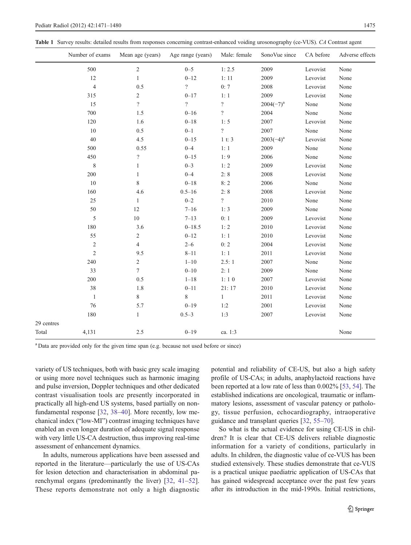|            | Number of exams | Mean age (years)         | Age range (years) | Male: female       | SonoVue since  | CA before | Adverse effects |
|------------|-----------------|--------------------------|-------------------|--------------------|----------------|-----------|-----------------|
|            | 500             | $\sqrt{2}$               | $0 - 5$           | 1:2.5              | 2009           | Levovist  | None            |
|            | 12              | $\mathbf{1}$             | $0 - 12$          | 1:11               | 2009           | Levovist  | None            |
|            | $\overline{4}$  | 0.5                      | $\overline{?}$    | 0:7                | 2008           | Levovist  | None            |
|            | 315             | 2                        | $0 - 17$          | 1:1                | 2009           | Levovist  | None            |
|            | 15              | $\overline{\mathcal{L}}$ | $\overline{?}$    | $\overline{\cdot}$ | $2004(-7)^{a}$ | None      | None            |
|            | 700             | 1.5                      | $0 - 16$          | $\overline{?}$     | 2004           | None      | None            |
|            | 120             | 1.6                      | $0 - 18$          | 1:5                | 2007           | Levovist  | None            |
|            | $10\,$          | 0.5                      | $0 - 1$           | $\overline{?}$     | 2007           | None      | None            |
|            | 40              | 4.5                      | $0 - 15$          | $1$ t: $3$         | $2003(-4)^a$   | Levovist  | None            |
|            | 500             | 0.55                     | $0 - 4$           | 1:1                | 2009           | None      | None            |
|            | 450             | $\overline{?}$           | $0 - 15$          | 1:9                | 2006           | None      | None            |
|            | $\,8\,$         | $\mathbf{1}$             | $0 - 3$           | 1:2                | 2009           | Levovist  | None            |
|            | 200             | $\mathbf{1}$             | $0 - 4$           | 2:8                | 2008           | Levovist  | None            |
|            | 10              | $\,$ $\,$                | $0 - 18$          | 8:2                | 2006           | None      | None            |
|            | 160             | 4.6                      | $0.5 - 16$        | 2:8                | 2008           | Levovist  | None            |
|            | 25              | $\mathbf{1}$             | $0 - 2$           | $\overline{?}$     | $2010\,$       | None      | None            |
|            | 50              | 12                       | $7 - 16$          | 1:3                | 2009           | None      | None            |
|            | 5               | $10\,$                   | $7 - 13$          | 0:1                | 2009           | Levovist  | None            |
|            | 180             | 3.6                      | $0 - 18.5$        | 1:2                | 2010           | Levovist  | None            |
|            | 55              | $\overline{c}$           | $0 - 12$          | 1:1                | 2010           | Levovist  | None            |
|            | $\overline{2}$  | 4                        | $2 - 6$           | 0:2                | 2004           | Levovist  | None            |
|            | $\overline{2}$  | 9.5                      | $8 - 11$          | 1:1                | 2011           | Levovist  | None            |
|            | 240             | $\mathbf{2}$             | $1 - 10$          | 2.5:1              | 2007           | None      | None            |
|            | 33              | $\boldsymbol{7}$         | $0 - 10$          | 2:1                | 2009           | None      | None            |
|            | 200             | 0.5                      | $1 - 18$          | 1:10               | 2007           | Levovist  | None            |
|            | 38              | 1.8                      | $0 - 11$          | 21:17              | 2010           | Levovist  | None            |
|            | $\mathbf{1}$    | 8                        | 8                 | $\mathbf{1}$       | 2011           | Levovist  | None            |
|            | 76              | 5.7                      | $0 - 19$          | 1:2                | 2001           | Levovist  | None            |
|            | 180             | $\mathbf{1}$             | $0.5 - 3$         | 1:3                | 2007           | Levovist  | None            |
| 29 centres |                 |                          |                   |                    |                |           |                 |
| Total      | 4,131           | 2.5                      | $0 - 19$          | ca. 1:3            |                |           | None            |

<span id="page-4-0"></span>Table 1 Survey results: detailed results from responses concerning contrast-enhanced voiding urosonography (ce-VUS). CA Contrast agent

<sup>a</sup> Data are provided only for the given time span (e.g. because not used before or since)

variety of US techniques, both with basic grey scale imaging or using more novel techniques such as harmonic imaging and pulse inversion, Doppler techniques and other dedicated contrast visualisation tools are presently incorporated in practically all high-end US systems, based partially on nonfundamental response [[32,](#page-8-0) [38](#page-8-0)–[40](#page-8-0)]. More recently, low mechanical index ("low-MI") contrast imaging techniques have enabled an even longer duration of adequate signal response with very little US-CA destruction, thus improving real-time assessment of enhancement dynamics.

In adults, numerous applications have been assessed and reported in the literature—particularly the use of US-CAs for lesion detection and characterisation in abdominal parenchymal organs (predominantly the liver) [[32](#page-8-0), [41](#page-8-0)–[52](#page-8-0)]. These reports demonstrate not only a high diagnostic potential and reliability of CE-US, but also a high safety profile of US-CAs; in adults, anaphylactoid reactions have been reported at a low rate of less than 0.002% [[53,](#page-8-0) [54\]](#page-8-0). The established indications are oncological, traumatic or inflammatory lesions, assessment of vascular patency or pathology, tissue perfusion, echocardiography, intraoperative guidance and transplant queries [[32,](#page-8-0) [55](#page-8-0)–[70](#page-9-0)].

So what is the actual evidence for using CE-US in children? It is clear that CE-US delivers reliable diagnostic information for a variety of conditions, particularly in adults. In children, the diagnostic value of ce-VUS has been studied extensively. These studies demonstrate that ce-VUS is a practical unique paediatric application of US-CAs that has gained widespread acceptance over the past few years after its introduction in the mid-1990s. Initial restrictions,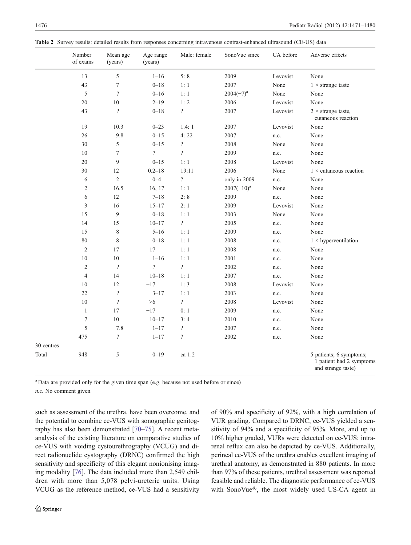|            | Number<br>of exams | Mean age<br>(years)      | Age range<br>(years)     | Male: female             | SonoVue since  | CA before | Adverse effects                                                           |
|------------|--------------------|--------------------------|--------------------------|--------------------------|----------------|-----------|---------------------------------------------------------------------------|
|            | 13                 | 5                        | $1 - 16$                 | 5:8                      | 2009           | Levovist  | None                                                                      |
|            | 43                 | $\boldsymbol{7}$         | $0 - 18$                 | 1:1                      | 2007           | None      | $1 \times$ strange taste                                                  |
|            | 5                  | $\overline{\mathcal{C}}$ | $0 - 16$                 | 1:1                      | $2004(-7)^{a}$ | None      | None                                                                      |
|            | 20                 | 10                       | $2 - 19$                 | 1:2                      | 2006           | Levovist  | None                                                                      |
|            | 43                 | $\overline{\mathcal{L}}$ | $0 - 18$                 | $\overline{\mathcal{L}}$ | 2007           | Levovist  | $2 \times$ strange taste,<br>cutaneous reaction                           |
|            | 19                 | 10.3                     | $0 - 23$                 | 1.4:1                    | 2007           | Levovist  | None                                                                      |
|            | 26                 | 9.8                      | $0 - 15$                 | 4:22                     | 2007           | n.c.      | None                                                                      |
|            | 30                 | 5                        | $0 - 15$                 | $\overline{?}$           | 2008           | None      | None                                                                      |
|            | $10\,$             | $\overline{7}$           | $\overline{\mathcal{C}}$ | $\overline{?}$           | 2009           | n.c.      | None                                                                      |
|            | 20                 | $\mathbf{9}$             | $0 - 15$                 | 1:1                      | 2008           | Levovist  | None                                                                      |
|            | 30                 | 12                       | $0.2 - 18$               | 19:11                    | 2006           | None      | $1 \times$ cutaneous reaction                                             |
|            | 6                  | $\sqrt{2}$               | $0 - 4$                  | $\overline{?}$           | only in 2009   | n.c.      | None                                                                      |
|            | $\overline{c}$     | 16.5                     | 16, 17                   | 1:1                      | $2007(-10)^a$  | None      | None                                                                      |
|            | 6                  | 12                       | $7 - 18$                 | 2:8                      | 2009           | n.c.      | None                                                                      |
|            | 3                  | 16                       | $15 - 17$                | 2:1                      | 2009           | Levovist  | None                                                                      |
|            | 15                 | $\overline{9}$           | $0 - 18$                 | 1:1                      | 2003           | None      | None                                                                      |
|            | 14                 | 15                       | $10 - 17$                | $\overline{?}$           | 2005           | n.c.      | None                                                                      |
|            | 15                 | $\,$ 8 $\,$              | $5 - 16$                 | 1:1                      | 2009           | n.c.      | None                                                                      |
|            | $80\,$             | $\,$ 8 $\,$              | $0 - 18$                 | 1:1                      | 2008           | n.c.      | $1 \times$ hyperventilation                                               |
|            | $\mathbf{2}$       | 17                       | 17                       | 1:1                      | 2008           | n.c.      | None                                                                      |
|            | $10\,$             | 10                       | $1 - 16$                 | 1:1                      | 2001           | n.c.      | None                                                                      |
|            | $\overline{c}$     | $\overline{\mathcal{C}}$ | $\overline{\phantom{a}}$ | $\overline{?}$           | 2002           | n.c.      | None                                                                      |
|            | $\overline{4}$     | 14                       | $10 - 18$                | 1:1                      | 2007           | n.c.      | None                                                                      |
|            | 10                 | 12                       | $-17$                    | 1:3                      | 2008           | Levovist  | None                                                                      |
|            | 22                 | $\overline{\mathcal{C}}$ | $3 - 17$                 | 1:1                      | 2003           | n.c.      | None                                                                      |
|            | $10\,$             | $\overline{\mathcal{C}}$ | $>6$                     | $\overline{?}$           | 2008           | Levovist  | None                                                                      |
|            | $\mathbf{1}$       | 17                       | $-17$                    | 0:1                      | 2009           | n.c.      | None                                                                      |
|            | $\tau$             | $10\,$                   | $10 - 17$                | 3:4                      | 2010           | n.c.      | None                                                                      |
|            | 5                  | 7.8                      | $1 - 17$                 | $\boldsymbol{?}$         | 2007           | n.c.      | None                                                                      |
|            | 475                | $\overline{\mathcal{C}}$ | $1 - 17$                 | $\overline{?}$           | 2002           | n.c.      | None                                                                      |
| 30 centres |                    |                          |                          |                          |                |           |                                                                           |
| Total      | 948                | 5                        | $0 - 19$                 | ca 1:2                   |                |           | 5 patients; 6 symptoms;<br>1 patient had 2 symptoms<br>and strange taste) |

Table 2 Survey results: detailed results from responses concerning intravenous contrast-enhanced ultrasound (CE-US) data

<sup>a</sup> Data are provided only for the given time span (e.g. because not used before or since)

n.c. No comment given

such as assessment of the urethra, have been overcome, and the potential to combine ce-VUS with sonographic genitography has also been demonstrated [[70](#page-9-0)–[75\]](#page-9-0). A recent metaanalysis of the existing literature on comparative studies of ce-VUS with voiding cystourethrography (VCUG) and direct radionuclide cystography (DRNC) confirmed the high sensitivity and specificity of this elegant nonionising imaging modality [\[76](#page-9-0)]. The data included more than 2,549 children with more than 5,078 pelvi-ureteric units. Using VCUG as the reference method, ce-VUS had a sensitivity of 90% and specificity of 92%, with a high correlation of VUR grading. Compared to DRNC, ce-VUS yielded a sensitivity of 94% and a specificity of 95%. More, and up to 10% higher graded, VURs were detected on ce-VUS; intrarenal reflux can also be depicted by ce-VUS. Additionally, perineal ce-VUS of the urethra enables excellent imaging of urethral anatomy, as demonstrated in 880 patients. In more than 97% of these patients, urethral assessment was reported feasible and reliable. The diagnostic performance of ce-VUS with SonoVue®, the most widely used US-CA agent in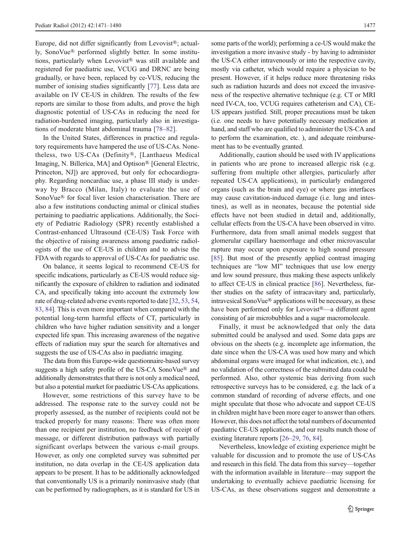Europe, did not differ significantly from Levovist®; actually, SonoVue® performed slightly better. In some institutions, particularly when Levovist® was still available and registered for paediatric use, VCUG and DRNC are being gradually, or have been, replaced by ce-VUS, reducing the number of ionising studies significantly [\[77](#page-9-0)]. Less data are available on IV CE-US in children. The results of the few reports are similar to those from adults, and prove the high diagnostic potential of US-CAs in reducing the need for radiation-burdened imaging, particularly also in investigations of moderate blunt abdominal trauma [[78](#page-9-0)–[82\]](#page-9-0).

In the United States, differences in practice and regulatory requirements have hampered the use of US-CAs. Nonetheless, two US-CAs (Definity®, [Lanthaeus Medical Imaging, N. Billerica, MA] and Optison® [General Electric, Princeton, NJ]) are approved, but only for echocardiography. Regarding noncardiac use, a phase III study is underway by Bracco (Milan, Italy) to evaluate the use of SonoVue® for focal liver lesion characterisation. There are also a few institutions conducting animal or clinical studies pertaining to paediatric applications. Additionally, the Society of Pediatric Radiology (SPR) recently established a Contrast-enhanced Ultrasound (CE-US) Task Force with the objective of raising awareness among paediatric radiologists of the use of CE-US in children and to advise the FDA with regards to approval of US-CAs for paediatric use.

On balance, it seems logical to recommend CE-US for specific indications, particularly as CE-US would reduce significantly the exposure of children to radiation and iodinated CA, and specifically taking into account the extremely low rate of drug-related adverse events reported to date [[32](#page-8-0), [53,](#page-8-0) [54,](#page-8-0) [83,](#page-9-0) [84](#page-9-0)]. This is even more important when compared with the potential long-term harmful effects of CT, particularly in children who have higher radiation sensitivity and a longer expected life span. This increasing awareness of the negative effects of radiation may spur the search for alternatives and suggests the use of US-CAs also in paediatric imaging.

The data from this Europe-wide questionnaire-based survey suggests a high safety profile of the US-CA SonoVue® and additionally demonstrates that there is not only a medical need, but also a potential market for paediatric US-CAs applications.

However, some restrictions of this survey have to be addressed. The response rate to the survey could not be properly assessed, as the number of recipients could not be tracked properly for many reasons: There was often more than one recipient per institution, no feedback of receipt of message, or different distribution pathways with partially significant overlaps between the various e-mail groups. However, as only one completed survey was submitted per institution, no data overlap in the CE-US application data appears to be present. It has to be additionally acknowledged that conventionally US is a primarily noninvasive study (that can be performed by radiographers, as it is standard for US in

some parts of the world); performing a ce-US would make the investigation a more invasive study - by having to administer the US-CA either intravenously or into the respective cavity, mostly via catheter, which would require a physician to be present. However, if it helps reduce more threatening risks such as radiation hazards and does not exceed the invasiveness of the respective alternative technique (e.g. CT or MRI need IV-CA, too, VCUG requires catheterism and CA), CE-US appears justified. Still, proper precautions must be taken (i.e. one needs to have potentially necessary medication at hand, and staff who are qualified to administer the US-CA and to perform the examination, etc. ), and adequate reimbursement has to be eventually granted.

Additionally, caution should be used with IV applications in patients who are prone to increased allergic risk (e.g. suffering from multiple other allergies, particularly after repeated US-CA applications), in particularly endangered organs (such as the brain and eye) or where gas interfaces may cause cavitation-induced damage (i.e. lung and intestines), as well as in neonates, because the potential side effects have not been studied in detail and, additionally, cellular effects from the US-CA have been observed in vitro. Furthermore, data from small animal models suggest that glomerular capillary haemorrhage and other microvascular rupture may occur upon exposure to high sound pressure [\[85](#page-9-0)]. But most of the presently applied contrast imaging techniques are "low MI" techniques that use low energy and low sound pressure, thus making these aspects unlikely to affect CE-US in clinical practice [[86\]](#page-9-0). Nevertheless, further studies on the safety of intracavitary and, particularly, intravesical SonoVue® applications will be necessary, as these have been performed only for Levovist®—a different agent consisting of air microbubbles and a sugar macromolecule.

Finally, it must be acknowledged that only the data submitted could be analysed and used. Some data gaps are obvious on the sheets (e.g. incomplete age information, the date since when the US-CA was used how many and which abdominal organs were imaged for what indication, etc.), and no validation of the correctness of the submitted data could be performed. Also, other systemic bias deriving from such retrospective surveys has to be considered, e.g. the lack of a common standard of recording of adverse effects, and one might speculate that those who advocate and support CE-US in children might have been more eager to answer than others. However, this does not affect the total numbers of documented paediatric CE-US applications, and our results match those of existing literature reports [[26](#page-7-0)–[29](#page-8-0), [76](#page-9-0), [84](#page-9-0)].

Nevertheless, knowledge of existing experience might be valuable for discussion and to promote the use of US-CAs and research in this field. The data from this survey—together with the information available in literature—may support the undertaking to eventually achieve paediatric licensing for US-CAs, as these observations suggest and demonstrate a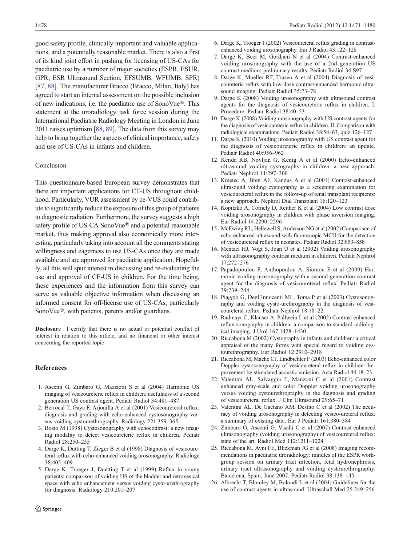<span id="page-7-0"></span>good safety profile, clinically important and valuable applications, and a potentially reasonable market. There is also a first of its kind joint effort in pushing for licensing of US-CAs for paediatric use by a number of major societies (ESPR, ESUR, GPR, ESR Ultrasound Section, EFSUMB, WFUMB, SPR) [\[87,](#page-9-0) [88\]](#page-9-0). The manufacturer Bracco (Bracco, Milan, Italy) has agreed to start an internal assessment on the possible inclusion of new indications, i.e. the paediatric use of SonoVue®. This statement at the uroradiology task force session during the International Paediatric Radiology Meeting in London in June 2011 raises optimism [[88,](#page-9-0) [89](#page-9-0)]. The data from this survey may help to bring together the aspects of clinical importance, safety and use of US-CAs in infants and children.

### Conclusion

This questionnaire-based European survey demonstrates that there are important applications for CE-US throughout childhood. Particularly, VUR assessment by ce-VUS could contribute to significantly reduce the exposure of this group of patients to diagnostic radiation. Furthermore, the survey suggests a high safety profile of US-CA SonoVue® and a potential reasonable market, thus making approval also economically more interesting, particularly taking into account all the comments stating willingness and eagerness to use US-CAs once they are made available and are approved for paediatric application. Hopefully, all this will spur interest in discussing and re-evaluating the use and approval of CE-US in children. For the time being, these experiences and the information from this survey can serve as valuable objective information when discussing an informed consent for off-license use of US-CAs, particularly SonoVue®, with patients, parents and/or guardians.

Disclosure I certify that there is no actual or potential conflict of interest in relation to this article, and no financial or other interest concerning the reported topic

### References

- 1. Ascenti G, Zimbaro G, Mazziotti S et al (2004) Harmonic US imaging of vesicoureteric reflux in children: usefulness of a second generation US contrast agent. Pediatr Radiol 34:481–487
- 2. Berrocal T, Gaya F, Arjonilla A et al (2001) Vesicoureteral reflux: diagnosis and grading with echo-enhanced cystosonography versus voiding cystourethrography. Radiology 221:359–365
- 3. Bosio M (1998) Cystosonography with echocontrast: a new imaging modality to detect vesicoureteric reflux in children. Pediatr Radiol 28:250–255
- 4. Darge K, Dütting T, Zieger B et al (1998) Diagnosis of vesicoureteral reflux with echo-enhanced voiding urosonography. Radiologe 38:405–409
- 5. Darge K, Troeger J, Duetting T et al (1999) Reflux in young patients: comparison of voiding US of the bladder and retrovesical space with echo enhancement versus voiding cysto-urethrography for diagnosis. Radiology 210:201–207
- 6. Darge K, Troeger J (2002) Vesicoureteral reflux grading in contrastenhanced voiding urosonography. Eur J Radiol 43:122–128
- 7. Darge K, Beer M, Gordjani N et al (2004) Contrast-enhanced voiding urosonography with the use of a 2nd generation US contrast medium: preliminary results. Pediatr Radiol 34:S97
- 8. Darge K, Moeller RT, Trusen A et al (2004) Diagnosis of vesicoureteric reflux with low-dose contrast-enhanced harmonic ultrasound imaging. Pediatr Radiol 35:73–78
- 9. Darge K (2008) Voiding urosonography with ultrasound contrast agents for the diagnosis of vesicoureteric reflux in children. I. Procedure. Pediatr Radiol 38:40–53
- 10. Darge K (2008) Voiding urosonography with US contrast agents for the diagnosis of vesicoureteric reflux in children. II. Comparison with radiological examinations. Pediatr Radiol 38:54–63, quiz 126–127
- 11. Darge K (2010) Voiding urosonography with US contrast agent for the diagnosis of vesicoureteric reflux in children: an update. Pediatr Radiol 40:956–962
- 12. Kenda RB, Novljan G, Kenig A et al (2000) Echo-enhanced ultrasound voiding cystography in children: a new approach. Pediatr Nephrol 14:297–300
- 13. Kmetec A, Bren AF, Kandus A et al (2001) Contrast-enhanced ultrasound voiding cystography as a screening examination for vesicoureteral reflux in the follow-up of renal transplant recipients: a new approach. Nephrol Dial Transplant 16:120–123
- 14. Kopitzko A, Cornely D, Reither K et al (2004) Low contrast dose voiding urosonography in children with phase inversion imaging. Eur Radiol 14:2290–2296
- 15. McEwing RL, Hellewell S, Anderson NG et al (2002) Comparison of echo-enhanced ultrasound with fluoroscopic MCU for the detection of vesicoureteral reflux in neonates. Pediatr Radiol 32:853–858
- 16. Mentzel HJ, Vogt S, Joan U et al (2002) Voiding urosonography with ultrasonography contrast medium in children. Pediatr Nephrol 17:272–276
- 17. Papadopoulou F, Anthopoulou A, Siomou E et al (2009) Harmonic voiding urosonography with a second-generation contrast agent for the diagnosis of vesicoureteral reflux. Pediatr Radiol 39:239–244
- 18. Piaggio G, Degl'Innocenti ML, Toma P et al (2003) Cystosonography and voiding cysto-urethrography in the diagnosis of vesicoureteral reflux. Pediatr Nephrol 18:18–22
- 19. Radmayr C, Klauser A, Pallwein L et al (2002) Contrast enhanced reflux sonography in children: a comparison to standard radiological imaging. J Urol 167:1428–1430
- 20. Riccabona M (2002) Cystography in infants and children: a critical appraisal of the many forms with special regard to voiding cystourethrography. Eur Radiol 12:2910–2918
- 21. Riccabona M, Mache CJ, Lindbichler F (2003) Echo-enhanced color Doppler cystosonography of vesicoureteral reflux in children: Improvement by stimulated acoustic emission. Acta Radiol 44:18–23
- 22. Valentini AL, Salvaggio E, Manzoni C et al (2001) Contrast enhanced gray-scale and color Doppler voiding urosonography versus voiding cystourethrography in the diagnosis and grading of vesicoureteral reflux. J Clin Ultrasound 29:65–71
- 23. Valentini AL, De Gaetano AM, Destito C et al (2002) The accuracy of voiding urosonography in detecting vesico-ureteral reflux: a summary of existing data. Eur J Pediatr 161:380–384
- 24. Zimbaro G, Ascenti G, Visalli C et al (2007) Contrast-enhanced ultrasonography (voiding urosonography) of vesicoureteral reflux: state of the art. Radiol Med 112:1211–1224
- 25. Riccabona M, Avni FE, Blickman JG et al (2008) Imaging recommendations in paediatric uroradiology: minutes of the ESPR workgroup session on urinary tract infection, fetal hydronephrosis, urinary tract ultrasonography and voiding cystourethrography. Barcelona, Spain, June 2007. Pediatr Radiol 38:138–145
- 26. Albrecht T, Blomley M, Bolondi L et al (2004) Guidelines for the use of contrast agents in ultrasound. Ultraschall Med 25:249–256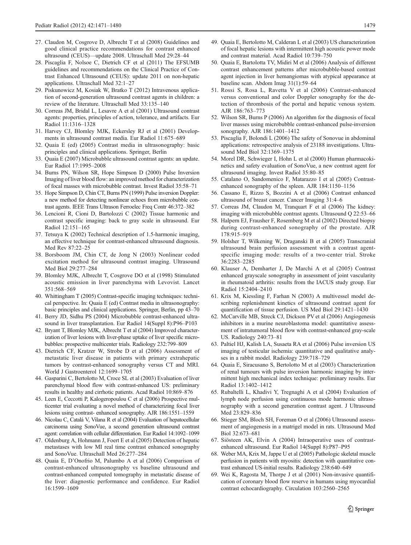- <span id="page-8-0"></span>28. Piscaglia F, Nolsoe C, Dietrich CF et al (2011) The EFSUMB guidelines and recommendations on the Clinical Practice of Contrast Enhanced Ultrasound (CEUS): update 2011 on non-hepatic applications. Ultraschall Med 32:1–27
- 29. Piskunowicz M, Kosiak W, Bratko T (2012) Intravenous application of second-generation ultrasound contrast agents in children: a review of the literature. Ultraschall Med 33:135–140
- 30. Correas JM, Bridal L, Lesavre A et al (2001) Ultrasound contrast agents: properties, principles of action, tolerance, and artifacts. Eur Radiol 11:1316–1328
- 31. Harvey CJ, Blomley MJK, Eckersley RJ et al (2001) Developments in ultrasound contrast media. Eur Radiol 11:675–689
- 32. Quaia E (ed) (2005) Contrast media in ultrasonography: basic principles and clinical applications. Springer, Berlin
- 33. Quaia E (2007) Microbubble ultrasound contrast agents: an update. Eur Radiol 17:1995–2008
- 34. Burns PN, Wilson SR, Hope Simpson D (2000) Pulse Inversion Imaging of liver blood flow: an improved method for characterization of focal masses with microbubble contrast. Invest Radiol 35:58–71
- 35. Hope Simpson D, Chin CT, Burns PN (1999) Pulse inversion Doppler: a new method for detecting nonlinear echoes from microbubble contrast agents. IEEE Trans Ultrason Ferroelec Freq Contr 46:372–382
- 36. Lencioni R, Cioni D, Bartolozzi C (2002) Tissue harmonic and contrast specific imaging: back to gray scale in ultrasound. Eur Radiol 12:151–165
- 37. Tetsuya K (2002) Technical description of 1.5-harmonic imaging, an effective technique for contrast-enhanced ultrasound diagnosis. Med Rev 87:22–25
- 38. Borsboom JM, Chin CT, de Jong N (2003) Nonlinear coded excitation method for ultrasound contrast imaging. Ultrasound Med Biol 29:277–284
- 39. Blomley MJK, Albrecht T, Cosgrove DO et al (1998) Stimulated acoustic emission in liver parenchyma with Levovist. Lancet 351:568–569
- 40. Whittingham T (2005) Contrast-specific imaging techniques: technical perspective. In: Quaia E (ed) Contrast media in ultrasonography: basic principles and clinical applications. Springer, Berlin, pp 43–70
- 41. Berry JD, Sidhu PS (2004) Microbubble contrast-enhanced ultrasound in liver transplantation. Eur Radiol 14(Suppl 8):P96–P103
- 42. Bryant T, Blomley MJK, Albrecht T et al (2004) Improved characterization of liver lesions with liver-phase uptake of liver specific microbubbles: prospective multicenter trials. Radiology 232:799–809
- 43. Dietrich CF, Kratzer W, Strobe D et al (2006) Assessment of metastatic liver disease in patients with primary extrahepatic tumors by contrast-enhanced sonography versus CT and MRI. World J Gastroenterol 12:1699–1705
- 44. Gasparini C, Bertolotto M, Croce SL et al (2003) Evaluation of liver parenchymal blood flow with contrast-enhanced US: preliminary results in healthy and cirrhotic patients. Acad Radiol 10:869–876
- 45. Leen E, Ceccotti P, Kalogeropoulou C et al (2006) Prospective multicenter trial evaluating a novel method of characterizing focal liver lesions using contrast- enhanced sonography. AJR 186:1551–1559
- 46. Nicolau C, Catalá V, Vilana R et al (2004) Evaluation of hepatocellular carcinoma using SonoVue, a second generation ultrasound contrast agent: correlation with cellular differentiation. Eur Radiol 14:1092–1099
- 47. Oldenburg A, Hohmann J, Foert E et al (2005) Detection of hepatic metastases with low MI real time contrast enhanced sonography and SonoVue. Ultraschall Med 26:277–284
- 48. Quaia E, D'Onofrio M, Palumbo A et al (2006) Comparison of contrast-enhanced ultrasonography vs baseline ultrasound and contrast-enhanced computed tomography in metastatic disease of the liver: diagnostic performance and confidence. Eur Radiol 16:1599–1609
- 49. Quaia E, Bertolotto M, Calderan L et al (2003) US characterization of focal hepatic lesions with intermittent high acoustic power mode and contrast material. Acad Radiol 10:739–750
- 50. Quaia E, Bartolotta TV, Midiri M et al (2006) Analysis of different contrast enhancement patterns after microbubble-based contrast agent injection in liver hemangiomas with atypical appearance at baseline scan. Abdom Imag 31(1):59–64
- 51. Rossi S, Rosa L, Ravetta V et al (2006) Contrast-enhanced versus conventional and color Doppler sonography for the detection of thrombosis of the portal and hepatic venous system. AJR 186:763–773
- 52. Wilson SR, Burns P (2006) An algorithm for the diagnosis of focal liver masses using microbubble contrast-enhanced pulse-inversion sonography. AJR 186:1401–1412
- 53. Piscaglia F, Bolondi L (2006) The safety of Sonovue in abdominal applications: retrospective analysis of 23188 investigations. Ultrasound Med Biol 32:1369–1375
- 54. Morel DR, Schwieger I, Hohn L et al (2000) Human pharmacokinetics and safety evaluation of SonoVue, a new contrast agent for ultrasound imaging. Invest Radiol 35:80–85
- 55. Catalano O, Sandomenico F, Matarazzo I et al (2005) Contrastenhanced sonography of the spleen. AJR 184:1150–1156
- 56. Cassano E, Rizzo S, Bozzini A et al (2006) Contrast enhanced ultrasound of breast cancer. Cancer Imaging 31:4–6
- 57. Correas JM, Claudon M, Tranquart F et al (2006) The kidney: imaging with microbubble contrast agents. Ultrasound Q 22:53–66
- 58. Halpern EJ, Frausher F, Rosemberg M et al (2002) Directed biopsy during contrast-enhanced sonography of the prostate. AJR 178:915–919
- 59. Holsher T, Wilkening W, Draganski B et al (2005) Transcranial ultrasound brain perfusion assessment with a contrast agentspecific imaging mode: results of a two-center trial. Stroke 36:2283–2285
- 60. Klauser A, Demharter J, De Marchi A et al (2005) Contrast enhanced grayscale sonography in assessment of joint vascularity in rheumatoid arthritis: results from the IACUS study group. Eur Radiol 15:2404–2410
- 61. Krix M, Kiessling F, Farhan N (2003) A multivessel model describing replenishment kinetics of ultrasound contrast agent for quantification of tissue perfusion. US Med Biol 29:1421–1430
- 62. McCarville MB, Streck CJ, Dickson PV et al (2006) Angiogenesis inhibitors in a murine neuroblastoma model: quantitative assessment of intratumoral blood flow with contrast-enhanced gray-scale US. Radiology 240:73–81
- 63. Paltiel HJ, Kalish LA, Susaeta RA et al (2006) Pulse inversion US imaging of testicular ischemia: quantitative and qualitative analyses in a rabbit model. Radiology 239:718–729
- 64. Quaia E, Siracusano S, Bertolotto M et al (2003) Characterization of renal tumours with pulse inversion harmonic imaging by intermittent high mechanical index technique: preliminary results. Eur Radiol 13:1402–1412
- 65. Rubaltelli L, Khadivi Y, Tregnaghi A et al (2004) Evaluation of lymph node perfusion using continuous mode harmonic ultrasonography with a second generation contrast agent. J Ultrasound Med 23:829–836
- 66. Stieger SM, Bloch SH, Foreman O et al (2006) Ultrasound assessment of angiogenesis in a matrigel model in rats. Ultrasound Med Biol 32:673–681
- 67. Siösteen AK, Elvin A (2004) Intraoperative uses of contrastenhanced ultrasound. Eur Radiol 14(Suppl 8):P87–P95
- 68. Weber MA, Krix M, Jappe U et al (2005) Pathologic skeletal muscle perfusion in patients with myositis: detection with quantitative contrast enhanced US-initial results. Radiology 238:640–649
- 69. Wei K, Ragosta M, Thorpe J et al (2001) Non-invasive quantification of coronary blood flow reserve in humans using myocardial contrast echocardiography. Circulation 103:2560–2565